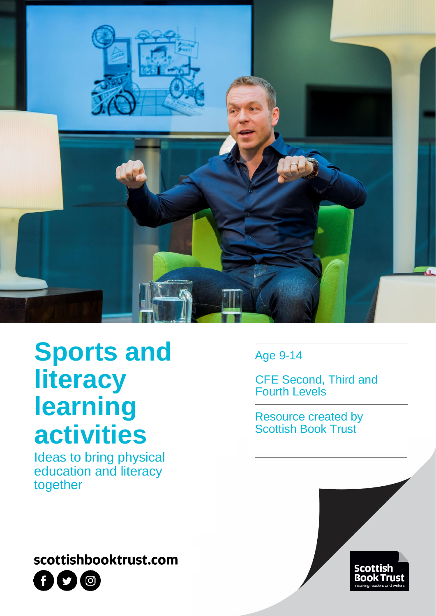

# **Sports and literacy learning activities**

Ideas to bring physical education and literacy together

### scottishbooktrust.com



Age 9-14

CFE Second, Third and Fourth Levels

Resource created by Scottish Book Trust

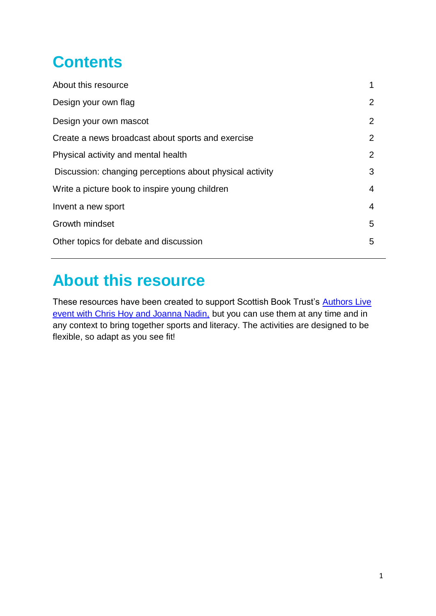## **Contents**

| About this resource                                      |                |
|----------------------------------------------------------|----------------|
| Design your own flag                                     | $\overline{2}$ |
| Design your own mascot                                   | 2              |
| Create a news broadcast about sports and exercise        | 2              |
| Physical activity and mental health                      | $\overline{2}$ |
| Discussion: changing perceptions about physical activity | 3              |
| Write a picture book to inspire young children           | 4              |
| Invent a new sport                                       | 4              |
| Growth mindset                                           | 5              |
| Other topics for debate and discussion                   | 5              |
|                                                          |                |

### **About this resource**

These resources have been created to support Scottish Book Trust's Authors Live [event with Chris Hoy and Joanna Nadin,](file://///SBT-DC-01/Company%20Data/Schools/Anna/scottishbooktrust.com/authors-live-on-demand/chris-hoy-and-joanna-nadin) but you can use them at any time and in any context to bring together sports and literacy. The activities are designed to be flexible, so adapt as you see fit!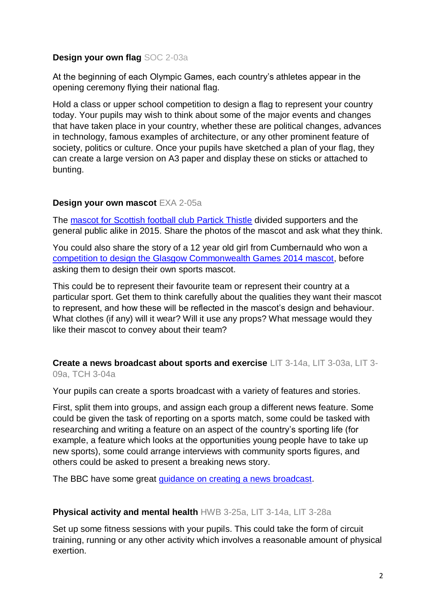#### **Design your own flag** SOC 2-03a

At the beginning of each Olympic Games, each country's athletes appear in the opening ceremony flying their national flag.

Hold a class or upper school competition to design a flag to represent your country today. Your pupils may wish to think about some of the major events and changes that have taken place in your country, whether these are political changes, advances in technology, famous examples of architecture, or any other prominent feature of society, politics or culture. Once your pupils have sketched a plan of your flag, they can create a large version on A3 paper and display these on sticks or attached to bunting.

#### **Design your own mascot** EXA 2-05a

The [mascot for Scottish football club Partick Thistle](https://www.theguardian.com/football/gallery/2015/aug/18/kingsley-partick-thistle-mascot-in-pictures) divided supporters and the general public alike in 2015. Share the photos of the mascot and ask what they think.

You could also share the story of a 12 year old girl from Cumbernauld who won a [competition to design the Glasgow Commonwealth Games 2014 mascot,](https://www.teamscotland.scot/2012/meet-clyde-the-glasgow-2014-mascot/) before asking them to design their own sports mascot.

This could be to represent their favourite team or represent their country at a particular sport. Get them to think carefully about the qualities they want their mascot to represent, and how these will be reflected in the mascot's design and behaviour. What clothes (if any) will it wear? Will it use any props? What message would they like their mascot to convey about their team?

**Create a news broadcast about sports and exercise** LIT 3-14a, LIT 3-03a, LIT 3- 09a, TCH 3-04a

Your pupils can create a sports broadcast with a variety of features and stories.

First, split them into groups, and assign each group a different news feature. Some could be given the task of reporting on a sports match, some could be tasked with researching and writing a feature on an aspect of the country's sporting life (for example, a feature which looks at the opportunities young people have to take up new sports), some could arrange interviews with community sports figures, and others could be asked to present a breaking news story.

The BBC have some great [guidance on creating a news broadcast.](http://news.bbc.co.uk/1/hi/school_report/resources_for_teachers/8472052.stm)

#### **Physical activity and mental health** HWB 3-25a, LIT 3-14a, LIT 3-28a

Set up some fitness sessions with your pupils. This could take the form of circuit training, running or any other activity which involves a reasonable amount of physical exertion.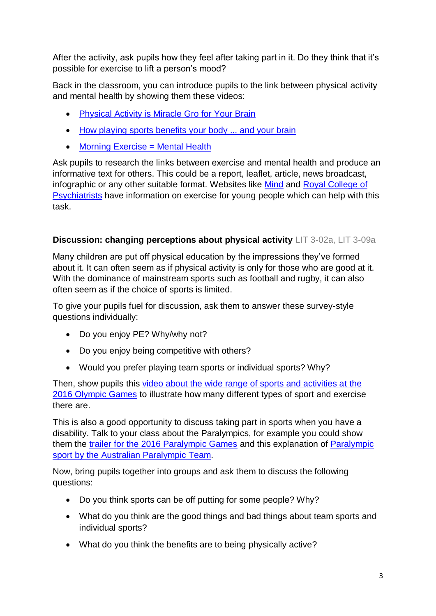After the activity, ask pupils how they feel after taking part in it. Do they think that it's possible for exercise to lift a person's mood?

Back in the classroom, you can introduce pupils to the link between physical activity and mental health by showing them these videos:

- [Physical Activity is Miracle Gro](https://www.youtube.com/watch?v=ZofSVuSnCFk) for Your Brain
- [How playing sports benefits your body ... and your brain](https://www.youtube.com/watch?v=hmFQqjMF_f0)
- [Morning Exercise = Mental Health](https://www.youtube.com/watch?v=3ZBXldCxZEA)

Ask pupils to research the links between exercise and mental health and produce an informative text for others. This could be a report, leaflet, article, news broadcast, infographic or any other suitable format. Websites like [Mind](https://www.mind.org.uk/information-support/tips-for-everyday-living/physical-activity-and-your-mental-health/about-physical-activity/#.VqoH3VK2q1U) and [Royal College of](https://www.rcpsych.ac.uk/mental-health/parents-and-young-people/young-people/exercise-and-mental-health-for-young-people)  [Psychiatrists](https://www.rcpsych.ac.uk/mental-health/parents-and-young-people/young-people/exercise-and-mental-health-for-young-people) have information on exercise for young people which can help with this task.

#### **Discussion: changing perceptions about physical activity** LIT 3-02a, LIT 3-09a

Many children are put off physical education by the impressions they've formed about it. It can often seem as if physical activity is only for those who are good at it. With the dominance of mainstream sports such as football and rugby, it can also often seem as if the choice of sports is limited.

To give your pupils fuel for discussion, ask them to answer these survey-style questions individually:

- Do you enjoy PE? Why/why not?
- Do you enjoy being competitive with others?
- Would you prefer playing team sports or individual sports? Why?

Then, show pupils this [video about the wide range of sports and activities at the](https://www.youtube.com/watch?v=d9doN6DuXy8)  [2016 Olympic Games](https://www.youtube.com/watch?v=d9doN6DuXy8) to illustrate how many different types of sport and exercise there are.

This is also a good opportunity to discuss taking part in sports when you have a disability. Talk to your class about the Paralympics, for example you could show them the [trailer for the 2016 Paralympic Games](https://www.youtube.com/watch?v=IocLkk3aYlk) and this explanation of [Paralympic](https://www.youtube.com/watch?v=eRrRf2yvAaA)  [sport by the Australian](https://www.youtube.com/watch?v=eRrRf2yvAaA) Paralympic Team.

Now, bring pupils together into groups and ask them to discuss the following questions:

- Do you think sports can be off putting for some people? Why?
- What do you think are the good things and bad things about team sports and individual sports?
- What do you think the benefits are to being physically active?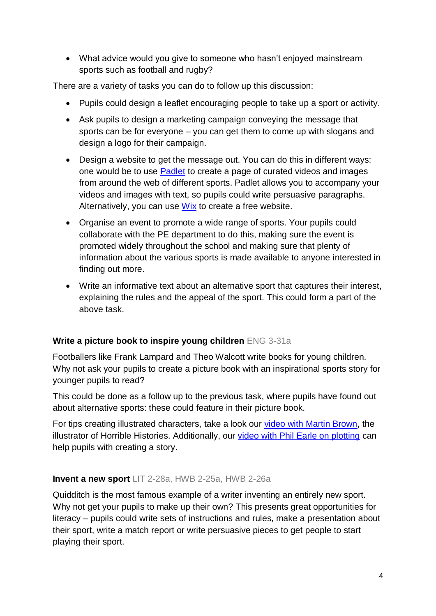What advice would you give to someone who hasn't enjoyed mainstream sports such as football and rugby?

There are a variety of tasks you can do to follow up this discussion:

- Pupils could design a leaflet encouraging people to take up a sport or activity.
- Ask pupils to design a marketing campaign conveying the message that sports can be for everyone – you can get them to come up with slogans and design a logo for their campaign.
- Design a website to get the message out. You can do this in different ways: one would be to use [Padlet](https://padlet.com/) to create a page of curated videos and images from around the web of different sports. Padlet allows you to accompany your videos and images with text, so pupils could write persuasive paragraphs. Alternatively, you can use [Wix](http://www.wix.com/) to create a free website.
- Organise an event to promote a wide range of sports. Your pupils could collaborate with the PE department to do this, making sure the event is promoted widely throughout the school and making sure that plenty of information about the various sports is made available to anyone interested in finding out more.
- Write an informative text about an alternative sport that captures their interest, explaining the rules and the appeal of the sport. This could form a part of the above task.

#### **Write a picture book to inspire young children** ENG 3-31a

Footballers like Frank Lampard and Theo Walcott write books for young children. Why not ask your pupils to create a picture book with an inspirational sports story for younger pupils to read?

This could be done as a follow up to the previous task, where pupils have found out about alternative sports: these could feature in their picture book.

For tips creating illustrated characters, take a look our [video with Martin Brown,](https://www.youtube.com/watch?v=NWBcEqD87yg) the illustrator of Horrible Histories. Additionally, our [video with Phil Earle on plotting](https://www.youtube.com/watch?v=2Xg1gDjK8TY) can help pupils with creating a story.

#### **Invent a new sport** LIT 2-28a, HWB 2-25a, HWB 2-26a

Quidditch is the most famous example of a writer inventing an entirely new sport. Why not get your pupils to make up their own? This presents great opportunities for literacy – pupils could write sets of instructions and rules, make a presentation about their sport, write a match report or write persuasive pieces to get people to start playing their sport.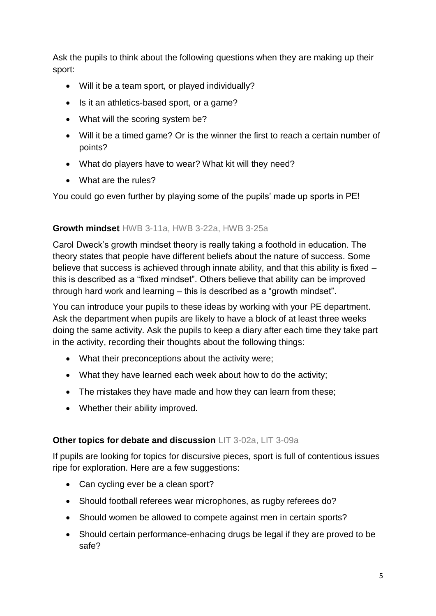Ask the pupils to think about the following questions when they are making up their sport:

- Will it be a team sport, or played individually?
- Is it an athletics-based sport, or a game?
- What will the scoring system be?
- Will it be a timed game? Or is the winner the first to reach a certain number of points?
- What do players have to wear? What kit will they need?
- What are the rules?

You could go even further by playing some of the pupils' made up sports in PE!

#### **Growth mindset** HWB 3-11a, HWB 3-22a, HWB 3-25a

Carol Dweck's growth mindset theory is really taking a foothold in education. The theory states that people have different beliefs about the nature of success. Some believe that success is achieved through innate ability, and that this ability is fixed – this is described as a "fixed mindset". Others believe that ability can be improved through hard work and learning – this is described as a "growth mindset".

You can introduce your pupils to these ideas by working with your PE department. Ask the department when pupils are likely to have a block of at least three weeks doing the same activity. Ask the pupils to keep a diary after each time they take part in the activity, recording their thoughts about the following things:

- What their preconceptions about the activity were;
- What they have learned each week about how to do the activity;
- The mistakes they have made and how they can learn from these;
- Whether their ability improved.

#### **Other topics for debate and discussion** LIT 3-02a, LIT 3-09a

If pupils are looking for topics for discursive pieces, sport is full of contentious issues ripe for exploration. Here are a few suggestions:

- Can cycling ever be a clean sport?
- Should football referees wear microphones, as rugby referees do?
- Should women be allowed to compete against men in certain sports?
- Should certain performance-enhacing drugs be legal if they are proved to be safe?